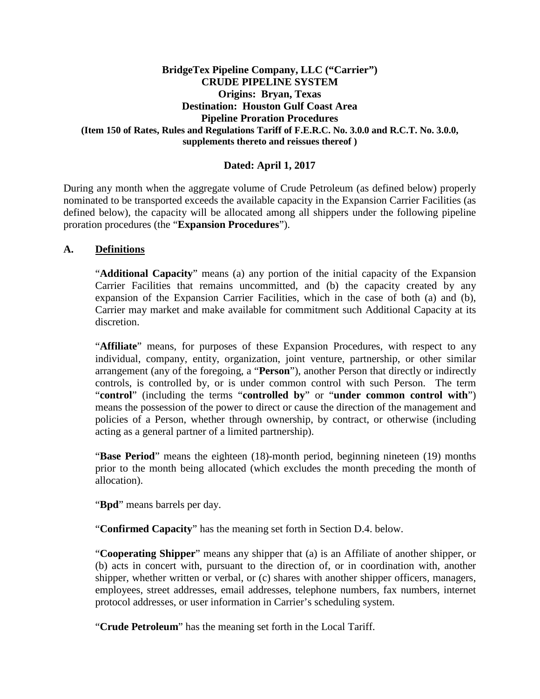### **BridgeTex Pipeline Company, LLC ("Carrier") CRUDE PIPELINE SYSTEM Origins: Bryan, Texas Destination: Houston Gulf Coast Area Pipeline Proration Procedures (Item 150 of Rates, Rules and Regulations Tariff of F.E.R.C. No. 3.0.0 and R.C.T. No. 3.0.0, supplements thereto and reissues thereof )**

## **Dated: April 1, 2017**

During any month when the aggregate volume of Crude Petroleum (as defined below) properly nominated to be transported exceeds the available capacity in the Expansion Carrier Facilities (as defined below), the capacity will be allocated among all shippers under the following pipeline proration procedures (the "**Expansion Procedures**").

#### **A. Definitions**

"**Additional Capacity**" means (a) any portion of the initial capacity of the Expansion Carrier Facilities that remains uncommitted, and (b) the capacity created by any expansion of the Expansion Carrier Facilities, which in the case of both (a) and (b), Carrier may market and make available for commitment such Additional Capacity at its discretion.

"**Affiliate**" means, for purposes of these Expansion Procedures, with respect to any individual, company, entity, organization, joint venture, partnership, or other similar arrangement (any of the foregoing, a "**Person**"), another Person that directly or indirectly controls, is controlled by, or is under common control with such Person. The term "**control**" (including the terms "**controlled by**" or "**under common control with**") means the possession of the power to direct or cause the direction of the management and policies of a Person, whether through ownership, by contract, or otherwise (including acting as a general partner of a limited partnership).

"**Base Period**" means the eighteen (18)-month period, beginning nineteen (19) months prior to the month being allocated (which excludes the month preceding the month of allocation).

"**Bpd**" means barrels per day.

"**Confirmed Capacity**" has the meaning set forth in Section D.4. below.

"**Cooperating Shipper**" means any shipper that (a) is an Affiliate of another shipper, or (b) acts in concert with, pursuant to the direction of, or in coordination with, another shipper, whether written or verbal, or (c) shares with another shipper officers, managers, employees, street addresses, email addresses, telephone numbers, fax numbers, internet protocol addresses, or user information in Carrier's scheduling system.

"**Crude Petroleum**" has the meaning set forth in the Local Tariff.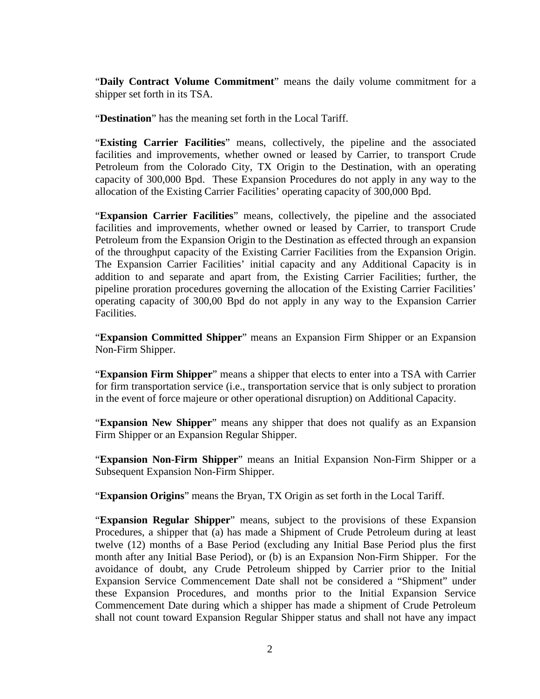"**Daily Contract Volume Commitment**" means the daily volume commitment for a shipper set forth in its TSA.

"**Destination**" has the meaning set forth in the Local Tariff.

"**Existing Carrier Facilities**" means, collectively, the pipeline and the associated facilities and improvements, whether owned or leased by Carrier, to transport Crude Petroleum from the Colorado City, TX Origin to the Destination, with an operating capacity of 300,000 Bpd. These Expansion Procedures do not apply in any way to the allocation of the Existing Carrier Facilities' operating capacity of 300,000 Bpd.

"**Expansion Carrier Facilities**" means, collectively, the pipeline and the associated facilities and improvements, whether owned or leased by Carrier, to transport Crude Petroleum from the Expansion Origin to the Destination as effected through an expansion of the throughput capacity of the Existing Carrier Facilities from the Expansion Origin. The Expansion Carrier Facilities' initial capacity and any Additional Capacity is in addition to and separate and apart from, the Existing Carrier Facilities; further, the pipeline proration procedures governing the allocation of the Existing Carrier Facilities' operating capacity of 300,00 Bpd do not apply in any way to the Expansion Carrier Facilities.

"**Expansion Committed Shipper**" means an Expansion Firm Shipper or an Expansion Non-Firm Shipper.

"**Expansion Firm Shipper**" means a shipper that elects to enter into a TSA with Carrier for firm transportation service (i.e., transportation service that is only subject to proration in the event of force majeure or other operational disruption) on Additional Capacity.

"**Expansion New Shipper**" means any shipper that does not qualify as an Expansion Firm Shipper or an Expansion Regular Shipper.

"**Expansion Non-Firm Shipper**" means an Initial Expansion Non-Firm Shipper or a Subsequent Expansion Non-Firm Shipper.

"**Expansion Origins**" means the Bryan, TX Origin as set forth in the Local Tariff.

"**Expansion Regular Shipper**" means, subject to the provisions of these Expansion Procedures, a shipper that (a) has made a Shipment of Crude Petroleum during at least twelve (12) months of a Base Period (excluding any Initial Base Period plus the first month after any Initial Base Period), or (b) is an Expansion Non-Firm Shipper. For the avoidance of doubt, any Crude Petroleum shipped by Carrier prior to the Initial Expansion Service Commencement Date shall not be considered a "Shipment" under these Expansion Procedures, and months prior to the Initial Expansion Service Commencement Date during which a shipper has made a shipment of Crude Petroleum shall not count toward Expansion Regular Shipper status and shall not have any impact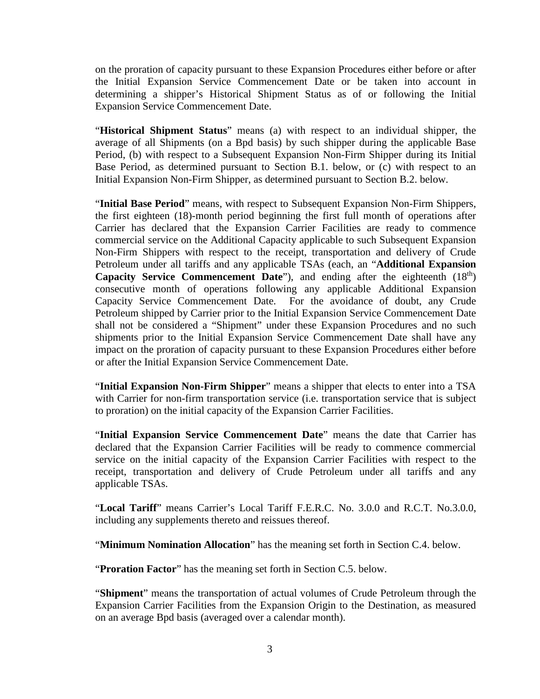on the proration of capacity pursuant to these Expansion Procedures either before or after the Initial Expansion Service Commencement Date or be taken into account in determining a shipper's Historical Shipment Status as of or following the Initial Expansion Service Commencement Date.

"**Historical Shipment Status**" means (a) with respect to an individual shipper, the average of all Shipments (on a Bpd basis) by such shipper during the applicable Base Period, (b) with respect to a Subsequent Expansion Non-Firm Shipper during its Initial Base Period, as determined pursuant to Section B.1. below, or (c) with respect to an Initial Expansion Non-Firm Shipper, as determined pursuant to Section B.2. below.

"**Initial Base Period**" means, with respect to Subsequent Expansion Non-Firm Shippers, the first eighteen (18)-month period beginning the first full month of operations after Carrier has declared that the Expansion Carrier Facilities are ready to commence commercial service on the Additional Capacity applicable to such Subsequent Expansion Non-Firm Shippers with respect to the receipt, transportation and delivery of Crude Petroleum under all tariffs and any applicable TSAs (each, an "**Additional Expansion Capacity Service Commencement Date**"), and ending after the eighteenth (18<sup>th</sup>) consecutive month of operations following any applicable Additional Expansion Capacity Service Commencement Date. For the avoidance of doubt, any Crude Petroleum shipped by Carrier prior to the Initial Expansion Service Commencement Date shall not be considered a "Shipment" under these Expansion Procedures and no such shipments prior to the Initial Expansion Service Commencement Date shall have any impact on the proration of capacity pursuant to these Expansion Procedures either before or after the Initial Expansion Service Commencement Date.

"**Initial Expansion Non-Firm Shipper**" means a shipper that elects to enter into a TSA with Carrier for non-firm transportation service (i.e. transportation service that is subject to proration) on the initial capacity of the Expansion Carrier Facilities.

"**Initial Expansion Service Commencement Date**" means the date that Carrier has declared that the Expansion Carrier Facilities will be ready to commence commercial service on the initial capacity of the Expansion Carrier Facilities with respect to the receipt, transportation and delivery of Crude Petroleum under all tariffs and any applicable TSAs.

"**Local Tariff**" means Carrier's Local Tariff F.E.R.C. No. 3.0.0 and R.C.T. No.3.0.0, including any supplements thereto and reissues thereof.

"**Minimum Nomination Allocation**" has the meaning set forth in Section C.4. below.

"**Proration Factor**" has the meaning set forth in Section C.5. below.

"**Shipment**" means the transportation of actual volumes of Crude Petroleum through the Expansion Carrier Facilities from the Expansion Origin to the Destination, as measured on an average Bpd basis (averaged over a calendar month).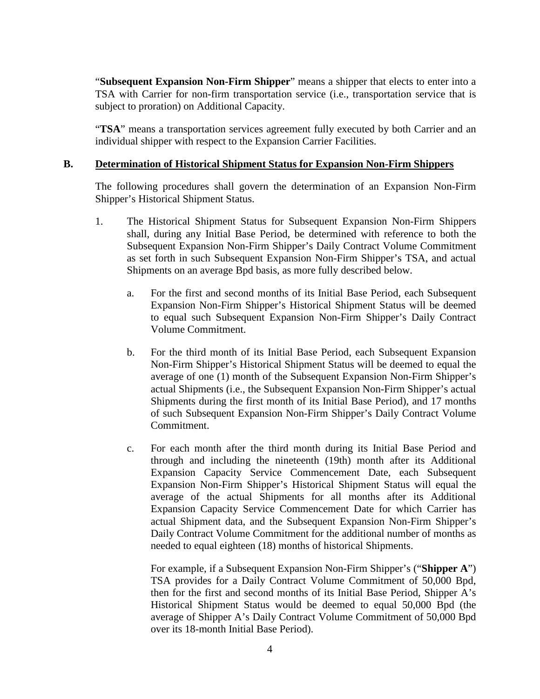"**Subsequent Expansion Non-Firm Shipper**" means a shipper that elects to enter into a TSA with Carrier for non-firm transportation service (i.e., transportation service that is subject to proration) on Additional Capacity.

"**TSA**" means a transportation services agreement fully executed by both Carrier and an individual shipper with respect to the Expansion Carrier Facilities.

#### **B. Determination of Historical Shipment Status for Expansion Non-Firm Shippers**

The following procedures shall govern the determination of an Expansion Non-Firm Shipper's Historical Shipment Status.

- 1. The Historical Shipment Status for Subsequent Expansion Non-Firm Shippers shall, during any Initial Base Period, be determined with reference to both the Subsequent Expansion Non-Firm Shipper's Daily Contract Volume Commitment as set forth in such Subsequent Expansion Non-Firm Shipper's TSA, and actual Shipments on an average Bpd basis, as more fully described below.
	- a. For the first and second months of its Initial Base Period, each Subsequent Expansion Non-Firm Shipper's Historical Shipment Status will be deemed to equal such Subsequent Expansion Non-Firm Shipper's Daily Contract Volume Commitment.
	- b. For the third month of its Initial Base Period, each Subsequent Expansion Non-Firm Shipper's Historical Shipment Status will be deemed to equal the average of one (1) month of the Subsequent Expansion Non-Firm Shipper's actual Shipments (i.e., the Subsequent Expansion Non-Firm Shipper's actual Shipments during the first month of its Initial Base Period), and 17 months of such Subsequent Expansion Non-Firm Shipper's Daily Contract Volume Commitment.
	- c. For each month after the third month during its Initial Base Period and through and including the nineteenth (19th) month after its Additional Expansion Capacity Service Commencement Date, each Subsequent Expansion Non-Firm Shipper's Historical Shipment Status will equal the average of the actual Shipments for all months after its Additional Expansion Capacity Service Commencement Date for which Carrier has actual Shipment data, and the Subsequent Expansion Non-Firm Shipper's Daily Contract Volume Commitment for the additional number of months as needed to equal eighteen (18) months of historical Shipments.

For example, if a Subsequent Expansion Non-Firm Shipper's ("**Shipper A**") TSA provides for a Daily Contract Volume Commitment of 50,000 Bpd, then for the first and second months of its Initial Base Period, Shipper A's Historical Shipment Status would be deemed to equal 50,000 Bpd (the average of Shipper A's Daily Contract Volume Commitment of 50,000 Bpd over its 18-month Initial Base Period).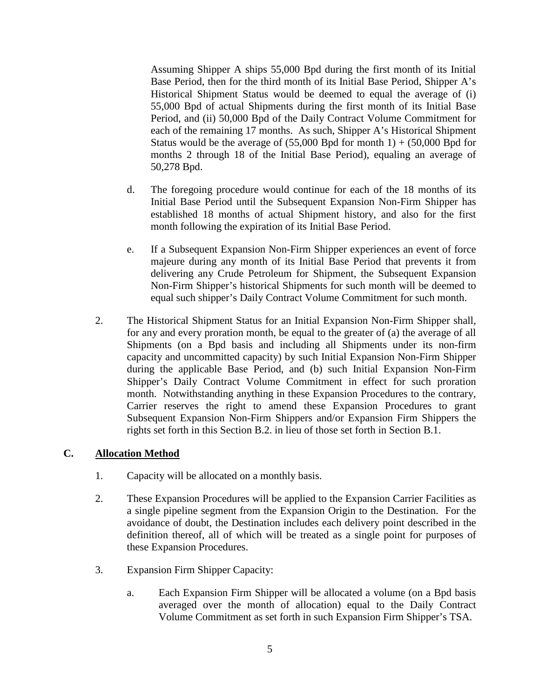Assuming Shipper A ships 55,000 Bpd during the first month of its Initial Base Period, then for the third month of its Initial Base Period, Shipper A's Historical Shipment Status would be deemed to equal the average of (i) 55,000 Bpd of actual Shipments during the first month of its Initial Base Period, and (ii) 50,000 Bpd of the Daily Contract Volume Commitment for each of the remaining 17 months. As such, Shipper A's Historical Shipment Status would be the average of  $(55,000$  Bpd for month 1) +  $(50,000$  Bpd for months 2 through 18 of the Initial Base Period), equaling an average of 50,278 Bpd.

- d. The foregoing procedure would continue for each of the 18 months of its Initial Base Period until the Subsequent Expansion Non-Firm Shipper has established 18 months of actual Shipment history, and also for the first month following the expiration of its Initial Base Period.
- e. If a Subsequent Expansion Non-Firm Shipper experiences an event of force majeure during any month of its Initial Base Period that prevents it from delivering any Crude Petroleum for Shipment, the Subsequent Expansion Non-Firm Shipper's historical Shipments for such month will be deemed to equal such shipper's Daily Contract Volume Commitment for such month.
- 2. The Historical Shipment Status for an Initial Expansion Non-Firm Shipper shall, for any and every proration month, be equal to the greater of (a) the average of all Shipments (on a Bpd basis and including all Shipments under its non-firm capacity and uncommitted capacity) by such Initial Expansion Non-Firm Shipper during the applicable Base Period, and (b) such Initial Expansion Non-Firm Shipper's Daily Contract Volume Commitment in effect for such proration month. Notwithstanding anything in these Expansion Procedures to the contrary, Carrier reserves the right to amend these Expansion Procedures to grant Subsequent Expansion Non-Firm Shippers and/or Expansion Firm Shippers the rights set forth in this Section B.2. in lieu of those set forth in Section B.1.

### **C. Allocation Method**

- 1. Capacity will be allocated on a monthly basis.
- 2. These Expansion Procedures will be applied to the Expansion Carrier Facilities as a single pipeline segment from the Expansion Origin to the Destination. For the avoidance of doubt, the Destination includes each delivery point described in the definition thereof, all of which will be treated as a single point for purposes of these Expansion Procedures.
- 3. Expansion Firm Shipper Capacity:
	- a. Each Expansion Firm Shipper will be allocated a volume (on a Bpd basis averaged over the month of allocation) equal to the Daily Contract Volume Commitment as set forth in such Expansion Firm Shipper's TSA.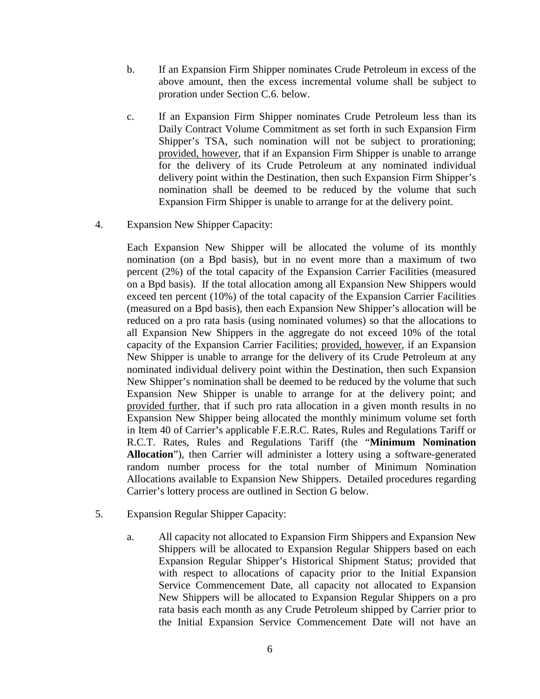- b. If an Expansion Firm Shipper nominates Crude Petroleum in excess of the above amount, then the excess incremental volume shall be subject to proration under Section C.6. below.
- c. If an Expansion Firm Shipper nominates Crude Petroleum less than its Daily Contract Volume Commitment as set forth in such Expansion Firm Shipper's TSA, such nomination will not be subject to prorationing; provided, however, that if an Expansion Firm Shipper is unable to arrange for the delivery of its Crude Petroleum at any nominated individual delivery point within the Destination, then such Expansion Firm Shipper's nomination shall be deemed to be reduced by the volume that such Expansion Firm Shipper is unable to arrange for at the delivery point.
- 4. Expansion New Shipper Capacity:

Each Expansion New Shipper will be allocated the volume of its monthly nomination (on a Bpd basis), but in no event more than a maximum of two percent (2%) of the total capacity of the Expansion Carrier Facilities (measured on a Bpd basis). If the total allocation among all Expansion New Shippers would exceed ten percent (10%) of the total capacity of the Expansion Carrier Facilities (measured on a Bpd basis), then each Expansion New Shipper's allocation will be reduced on a pro rata basis (using nominated volumes) so that the allocations to all Expansion New Shippers in the aggregate do not exceed 10% of the total capacity of the Expansion Carrier Facilities; provided, however, if an Expansion New Shipper is unable to arrange for the delivery of its Crude Petroleum at any nominated individual delivery point within the Destination, then such Expansion New Shipper's nomination shall be deemed to be reduced by the volume that such Expansion New Shipper is unable to arrange for at the delivery point; and provided further, that if such pro rata allocation in a given month results in no Expansion New Shipper being allocated the monthly minimum volume set forth in Item 40 of Carrier's applicable F.E.R.C. Rates, Rules and Regulations Tariff or R.C.T. Rates, Rules and Regulations Tariff (the "**Minimum Nomination Allocation**"), then Carrier will administer a lottery using a software-generated random number process for the total number of Minimum Nomination Allocations available to Expansion New Shippers. Detailed procedures regarding Carrier's lottery process are outlined in Section G below.

- 5. Expansion Regular Shipper Capacity:
	- a. All capacity not allocated to Expansion Firm Shippers and Expansion New Shippers will be allocated to Expansion Regular Shippers based on each Expansion Regular Shipper's Historical Shipment Status; provided that with respect to allocations of capacity prior to the Initial Expansion Service Commencement Date, all capacity not allocated to Expansion New Shippers will be allocated to Expansion Regular Shippers on a pro rata basis each month as any Crude Petroleum shipped by Carrier prior to the Initial Expansion Service Commencement Date will not have an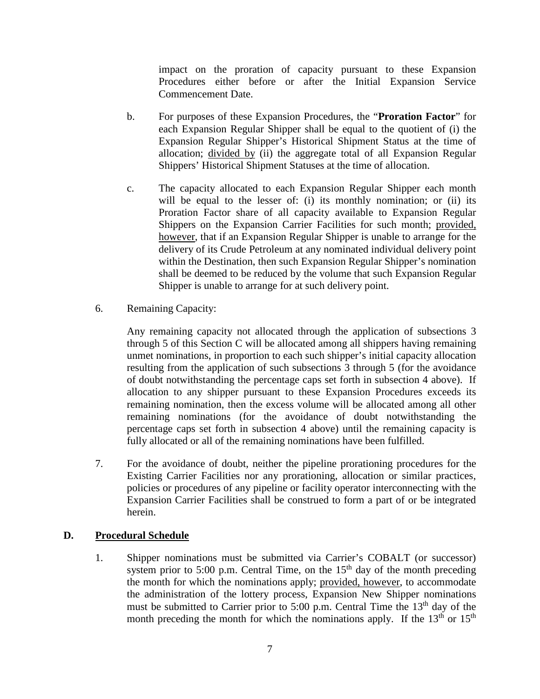impact on the proration of capacity pursuant to these Expansion Procedures either before or after the Initial Expansion Service Commencement Date.

- b. For purposes of these Expansion Procedures, the "**Proration Factor**" for each Expansion Regular Shipper shall be equal to the quotient of (i) the Expansion Regular Shipper's Historical Shipment Status at the time of allocation; divided by (ii) the aggregate total of all Expansion Regular Shippers' Historical Shipment Statuses at the time of allocation.
- c. The capacity allocated to each Expansion Regular Shipper each month will be equal to the lesser of: (i) its monthly nomination; or (ii) its Proration Factor share of all capacity available to Expansion Regular Shippers on the Expansion Carrier Facilities for such month; provided, however, that if an Expansion Regular Shipper is unable to arrange for the delivery of its Crude Petroleum at any nominated individual delivery point within the Destination, then such Expansion Regular Shipper's nomination shall be deemed to be reduced by the volume that such Expansion Regular Shipper is unable to arrange for at such delivery point.
- 6. Remaining Capacity:

Any remaining capacity not allocated through the application of subsections 3 through 5 of this Section C will be allocated among all shippers having remaining unmet nominations, in proportion to each such shipper's initial capacity allocation resulting from the application of such subsections 3 through 5 (for the avoidance of doubt notwithstanding the percentage caps set forth in subsection 4 above). If allocation to any shipper pursuant to these Expansion Procedures exceeds its remaining nomination, then the excess volume will be allocated among all other remaining nominations (for the avoidance of doubt notwithstanding the percentage caps set forth in subsection 4 above) until the remaining capacity is fully allocated or all of the remaining nominations have been fulfilled.

7. For the avoidance of doubt, neither the pipeline prorationing procedures for the Existing Carrier Facilities nor any prorationing, allocation or similar practices, policies or procedures of any pipeline or facility operator interconnecting with the Expansion Carrier Facilities shall be construed to form a part of or be integrated herein.

### **D. Procedural Schedule**

1. Shipper nominations must be submitted via Carrier's COBALT (or successor) system prior to 5:00 p.m. Central Time, on the  $15<sup>th</sup>$  day of the month preceding the month for which the nominations apply; provided, however, to accommodate the administration of the lottery process, Expansion New Shipper nominations must be submitted to Carrier prior to 5:00 p.m. Central Time the  $13<sup>th</sup>$  day of the month preceding the month for which the nominations apply. If the  $13<sup>th</sup>$  or  $15<sup>th</sup>$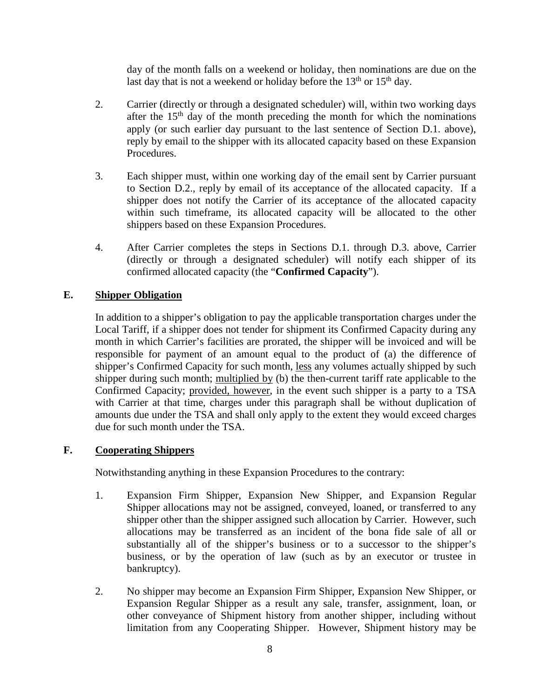day of the month falls on a weekend or holiday, then nominations are due on the last day that is not a weekend or holiday before the  $13<sup>th</sup>$  or  $15<sup>th</sup>$  day.

- 2. Carrier (directly or through a designated scheduler) will, within two working days after the  $15<sup>th</sup>$  day of the month preceding the month for which the nominations apply (or such earlier day pursuant to the last sentence of Section D.1. above), reply by email to the shipper with its allocated capacity based on these Expansion Procedures.
- 3. Each shipper must, within one working day of the email sent by Carrier pursuant to Section D.2., reply by email of its acceptance of the allocated capacity. If a shipper does not notify the Carrier of its acceptance of the allocated capacity within such timeframe, its allocated capacity will be allocated to the other shippers based on these Expansion Procedures.
- 4. After Carrier completes the steps in Sections D.1. through D.3. above, Carrier (directly or through a designated scheduler) will notify each shipper of its confirmed allocated capacity (the "**Confirmed Capacity**").

# **E. Shipper Obligation**

In addition to a shipper's obligation to pay the applicable transportation charges under the Local Tariff, if a shipper does not tender for shipment its Confirmed Capacity during any month in which Carrier's facilities are prorated, the shipper will be invoiced and will be responsible for payment of an amount equal to the product of (a) the difference of shipper's Confirmed Capacity for such month, less any volumes actually shipped by such shipper during such month; multiplied by (b) the then-current tariff rate applicable to the Confirmed Capacity; provided, however, in the event such shipper is a party to a TSA with Carrier at that time, charges under this paragraph shall be without duplication of amounts due under the TSA and shall only apply to the extent they would exceed charges due for such month under the TSA.

### **F. Cooperating Shippers**

Notwithstanding anything in these Expansion Procedures to the contrary:

- 1. Expansion Firm Shipper, Expansion New Shipper, and Expansion Regular Shipper allocations may not be assigned, conveyed, loaned, or transferred to any shipper other than the shipper assigned such allocation by Carrier. However, such allocations may be transferred as an incident of the bona fide sale of all or substantially all of the shipper's business or to a successor to the shipper's business, or by the operation of law (such as by an executor or trustee in bankruptcy).
- 2. No shipper may become an Expansion Firm Shipper, Expansion New Shipper, or Expansion Regular Shipper as a result any sale, transfer, assignment, loan, or other conveyance of Shipment history from another shipper, including without limitation from any Cooperating Shipper. However, Shipment history may be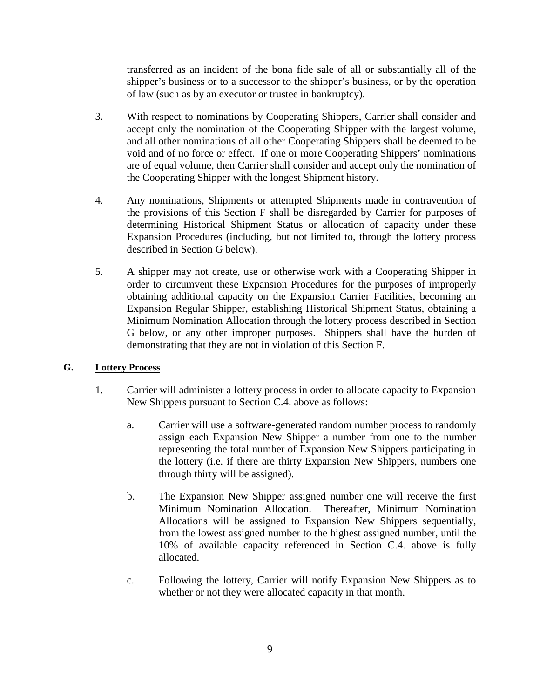transferred as an incident of the bona fide sale of all or substantially all of the shipper's business or to a successor to the shipper's business, or by the operation of law (such as by an executor or trustee in bankruptcy).

- 3. With respect to nominations by Cooperating Shippers, Carrier shall consider and accept only the nomination of the Cooperating Shipper with the largest volume, and all other nominations of all other Cooperating Shippers shall be deemed to be void and of no force or effect. If one or more Cooperating Shippers' nominations are of equal volume, then Carrier shall consider and accept only the nomination of the Cooperating Shipper with the longest Shipment history.
- 4. Any nominations, Shipments or attempted Shipments made in contravention of the provisions of this Section F shall be disregarded by Carrier for purposes of determining Historical Shipment Status or allocation of capacity under these Expansion Procedures (including, but not limited to, through the lottery process described in Section G below).
- 5. A shipper may not create, use or otherwise work with a Cooperating Shipper in order to circumvent these Expansion Procedures for the purposes of improperly obtaining additional capacity on the Expansion Carrier Facilities, becoming an Expansion Regular Shipper, establishing Historical Shipment Status, obtaining a Minimum Nomination Allocation through the lottery process described in Section G below, or any other improper purposes. Shippers shall have the burden of demonstrating that they are not in violation of this Section F.

# **G. Lottery Process**

- 1. Carrier will administer a lottery process in order to allocate capacity to Expansion New Shippers pursuant to Section C.4. above as follows:
	- a. Carrier will use a software-generated random number process to randomly assign each Expansion New Shipper a number from one to the number representing the total number of Expansion New Shippers participating in the lottery (i.e. if there are thirty Expansion New Shippers, numbers one through thirty will be assigned).
	- b. The Expansion New Shipper assigned number one will receive the first Minimum Nomination Allocation. Thereafter, Minimum Nomination Allocations will be assigned to Expansion New Shippers sequentially, from the lowest assigned number to the highest assigned number, until the 10% of available capacity referenced in Section C.4. above is fully allocated.
	- c. Following the lottery, Carrier will notify Expansion New Shippers as to whether or not they were allocated capacity in that month.